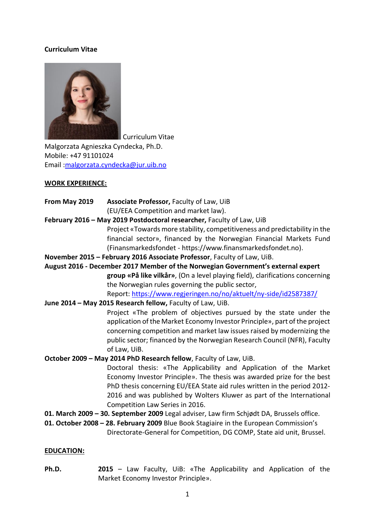#### **Curriculum Vitae**



Curriculum Vitae

Malgorzata Agnieszka Cyndecka, Ph.D. Mobile: +47 91101024 Email [:malgorzata.cyndecka@jur.uib.no](mailto:malgorzata.cyndecka@jur.uib.no)

#### **WORK EXPERIENCE:**

- **From May 2019 Associate Professor,** Faculty of Law, UiB (EU/EEA Competition and market law).
- **February 2016 – May 2019 Postdoctoral researcher,** Faculty of Law, UiB

Project «Towards more stability, competitiveness and predictability in the financial sector», financed by the Norwegian Financial Markets Fund (Finansmarkedsfondet - https://www.finansmarkedsfondet.no).

**November 2015 – February 2016 Associate Professor**, Faculty of Law, UiB.

**August 2016 - December 2017 Member of the Norwegian Government's external expert group «På like vilkår»**, (On a level playing field), clarifications concerning the Norwegian rules governing the public sector, Report:<https://www.regjeringen.no/no/aktuelt/ny-side/id2587387/>

#### **June 2014 – May 2015 Research fellow,** Faculty of Law, UiB.

Project «The problem of objectives pursued by the state under the application of the Market Economy Investor Principle», part of the project concerning competition and market law issues raised by modernizing the public sector; financed by the Norwegian Research Council (NFR), Faculty of Law, UiB.

**October 2009 – May 2014 PhD Research fellow**, Faculty of Law, UiB.

Doctoral thesis: «The Applicability and Application of the Market Economy Investor Principle». The thesis was awarded prize for the best PhD thesis concerning EU/EEA State aid rules written in the period 2012- 2016 and was published by Wolters Kluwer as part of the International Competition Law Series in 2016.

- **01. March 2009 – 30. September 2009** Legal adviser, Law firm Schjødt DA, Brussels office.
- **01. October 2008 – 28. February 2009** Blue Book Stagiaire in the European Commission's Directorate-General for Competition, DG COMP, State aid unit, Brussel.

#### **EDUCATION:**

**Ph.D. 2015** – Law Faculty, UiB: «The Applicability and Application of the Market Economy Investor Principle».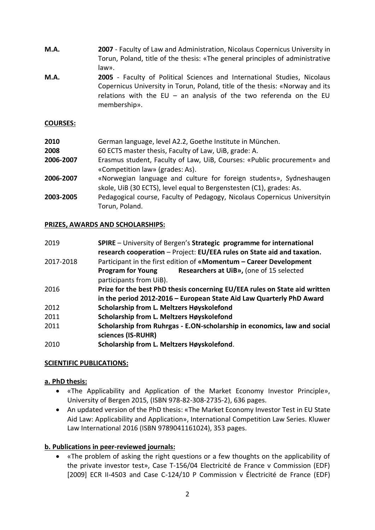- **M.A. 2007** Faculty of Law and Administration, Nicolaus Copernicus University in Torun, Poland, title of the thesis: «The general principles of administrative law».
- **M.A. 2005** Faculty of Political Sciences and International Studies, Nicolaus Copernicus University in Torun, Poland, title of the thesis: «Norway and its relations with the EU – an analysis of the two referenda on the EU membership».

### **COURSES:**

| 2010      | German language, level A2.2, Goethe Institute in München.                 |
|-----------|---------------------------------------------------------------------------|
| 2008      | 60 ECTS master thesis, Faculty of Law, UiB, grade: A.                     |
| 2006-2007 | Erasmus student, Faculty of Law, UiB, Courses: «Public procurement» and   |
|           | «Competition law» (grades: As).                                           |
| 2006-2007 | «Norwegian language and culture for foreign students», Sydneshaugen       |
|           | skole, UiB (30 ECTS), level equal to Bergenstesten (C1), grades: As.      |
| 2003-2005 | Pedagogical course, Faculty of Pedagogy, Nicolaus Copernicus Universityin |
|           | Torun, Poland.                                                            |

#### **PRIZES, AWARDS AND SCHOLARSHIPS:**

| 2019      | SPIRE - University of Bergen's Strategic programme for international<br>research cooperation - Project: EU/EEA rules on State aid and taxation. |
|-----------|-------------------------------------------------------------------------------------------------------------------------------------------------|
| 2017-2018 | Participant in the first edition of «Momentum - Career Development                                                                              |
|           | Researchers at UiB», (one of 15 selected<br><b>Program for Young</b><br>participants from UiB).                                                 |
| 2016      | Prize for the best PhD thesis concerning EU/EEA rules on State aid written                                                                      |
|           | in the period 2012-2016 - European State Aid Law Quarterly PhD Award                                                                            |
| 2012      | Scholarship from L. Meltzers Høyskolefond                                                                                                       |
| 2011      | Scholarship from L. Meltzers Høyskolefond                                                                                                       |
| 2011      | Scholarship from Ruhrgas - E.ON-scholarship in economics, law and social<br>sciences (IS-RUHR)                                                  |
| 2010      | Scholarship from L. Meltzers Høyskolefond.                                                                                                      |

## **SCIENTIFIC PUBLICATIONS:**

#### **a. PhD thesis:**

- «The Applicability and Application of the Market Economy Investor Principle», University of Bergen 2015, (ISBN 978-82-308-2735-2), 636 pages.
- An updated version of the PhD thesis: «The Market Economy Investor Test in EU State Aid Law: Applicability and Application», International Competition Law Series. Kluwer Law International 2016 (ISBN 9789041161024), 353 pages.

#### **b. Publications in peer-reviewed journals:**

• «The problem of asking the right questions or a few thoughts on the applicability of the private investor test», Case T-156/04 Electricité de France v Commission (EDF) [2009] ECR II-4503 and Case C-124/10 P Commission v Électricité de France (EDF)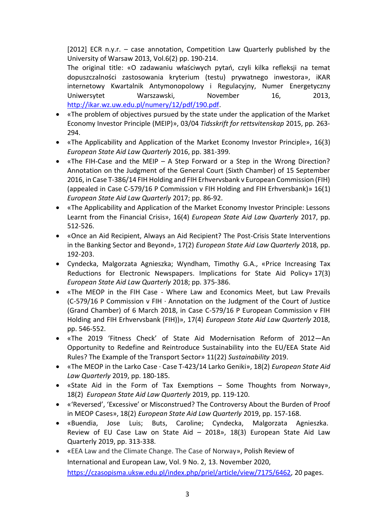[2012] ECR n.y.r. – case annotation, Competition Law Quarterly published by the University of Warsaw 2013, Vol.6(2) pp. 190-214.

The original title: «O zadawaniu właściwych pytań, czyli kilka refleksji na temat dopuszczalności zastosowania kryterium (testu) prywatnego inwestora», iKAR internetowy Kwartalnik Antymonopolowy i Regulacyjny, Numer Energetyczny Uniwersytet Warszawski, November 16, 2013, [http://ikar.wz.uw.edu.pl/numery/12/pdf/190.pdf.](http://ikar.wz.uw.edu.pl/numery/12/pdf/190.pdf)

- «The problem of objectives pursued by the state under the application of the Market Economy Investor Principle (MEIP)», 03/04 *Tidsskrift for rettsvitenskap* 2015, pp. 263- 294.
- «The Applicability and Application of the Market Economy Investor Principle», 16(3) *European State Aid Law Quarterly* 2016, pp. 381-399.
- «The FIH-Case and the MEIP A Step Forward or a Step in the Wrong Direction? Annotation on the Judgment of the General Court (Sixth Chamber) of 15 September 2016, in Case T-386/14 FIH Holding and FIH Erhvervsbank v European Commission (FIH) (appealed in Case C-579/16 P Commission v FIH Holding and FIH Erhversbank)» 16(1) *European State Aid Law Quarterly* 2017; pp. 86-92.
- «The Applicability and Application of the Market Economy Investor Principle: Lessons Learnt from the Financial Crisis», 16(4) *European State Aid Law Quarterly* 2017, pp. 512-526.
- «Once an Aid Recipient, Always an Aid Recipient? The Post-Crisis State Interventions in the Banking Sector and Beyond», 17(2) *European State Aid Law Quarterly* 2018, pp. 192-203.
- Cyndecka, Malgorzata Agnieszka; Wyndham, Timothy G.A., «Price Increasing Tax Reductions for Electronic Newspapers. Implications for State Aid Policy» 17(3) *European State Aid Law Quarterly* 2018; pp. 375-386.
- «The MEOP in the FIH Case Where Law and Economics Meet, but Law Prevails (C-579/16 P Commission v FIH ∙ Annotation on the Judgment of the Court of Justice (Grand Chamber) of 6 March 2018, in Case C-579/16 P European Commission v FIH Holding and FIH Erhvervsbank (FIH))», 17(4) *European State Aid Law Quarterly* 2018, pp. 546-552.
- «The 2019 'Fitness Check' of State Aid Modernisation Reform of 2012—An Opportunity to Redefine and Reintroduce Sustainability into the EU/EEA State Aid Rules? The Example of the Transport Sector» 11(22) *Sustainability* 2019.
- «The MEOP in the Larko Case · Case T-423/14 Larko Geniki», 18(2) *European State Aid Law Quarterly* 2019, pp. 180-185.
- «State Aid in the Form of Tax Exemptions Some Thoughts from Norway», 18(2) *European State Aid Law Quarterly* 2019, pp. 119-120.
- «'Reversed', 'Excessive' or Misconstrued? The Controversy About the Burden of Proof in MEOP Cases», 18(2) *European State Aid Law Quarterly* 2019, pp. 157-168.
- «Buendia, Jose Luis; Buts, Caroline; Cyndecka, Malgorzata Agnieszka. Review of EU Case Law on State Aid – 2018», 18(3) European State Aid Law Quarterly 2019, pp. 313-338.
- «EEA Law and the Climate Change. The Case of Norway», Polish Review of International and European Law, Vol. 9 No. 2, 13. November 2020, [https://czasopisma.uksw.edu.pl/index.php/priel/article/view/7175/6462,](https://czasopisma.uksw.edu.pl/index.php/priel/article/view/7175/6462) 20 pages.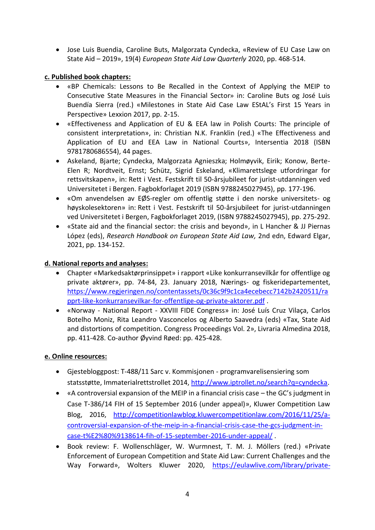• Jose Luis Buendia, Caroline Buts, Malgorzata Cyndecka, «Review of EU Case Law on State Aid – 2019», 19(4) *European State Aid Law Quarterly* 2020, pp. 468-514.

## **c. Published book chapters:**

- «BP Chemicals: Lessons to Be Recalled in the Context of Applying the MEIP to Consecutive State Measures in the Financial Sector» in: Caroline Buts og José Luis Buendía Sierra (red.) «Milestones in State Aid Case Law EStAL's First 15 Years in Perspective» Lexxion 2017, pp. 2-15.
- «Effectiveness and Application of EU & EEA law in Polish Courts: The principle of consistent interpretation», in: Christian N.K. Franklin (red.) «The Effectiveness and Application of EU and EEA Law in National Courts», Intersentia 2018 (ISBN 9781780686554), 44 pages.
- Askeland, Bjarte; Cyndecka, Malgorzata Agnieszka; Holmøyvik, Eirik; Konow, Berte-Elen R; Nordtveit, Ernst; Schütz, Sigrid Eskeland, «Klimarettslege utfordringar for rettsvitskapen», in: Rett i Vest. Festskrift til 50-årsjubileet for jurist-utdanningen ved Universitetet i Bergen. Fagbokforlaget 2019 (ISBN 9788245027945), pp. 177-196.
- «Om anvendelsen av EØS-regler om offentlig støtte i den norske universitets- og høyskolesektoren» in: Rett i Vest. Festskrift til 50-årsjubileet for jurist-utdanningen ved Universitetet i Bergen, Fagbokforlaget 2019, (ISBN 9788245027945), pp. 275-292.
- «State aid and the financial sector: the crisis and beyond», in L Hancher & JJ Piernas López (eds), *Research Handbook on European State Aid Law,* 2nd edn, Edward Elgar, 2021, pp. 134-152.

## **d. National reports and analyses:**

- Chapter «Markedsaktørprinsippet» i rapport «Like konkurransevilkår for offentlige og private aktører», pp. 74-84, 23. January 2018, Nærings- og fiskeridepartementet, [https://www.regjeringen.no/contentassets/0c36c9f9c1ca4ecebecc7142b2420511/ra](https://www.regjeringen.no/contentassets/0c36c9f9c1ca4ecebecc7142b2420511/rapprt-like-konkurransevilkar-for-offentlige-og-private-aktorer.pdf) [pprt-like-konkurransevilkar-for-offentlige-og-private-aktorer.pdf](https://www.regjeringen.no/contentassets/0c36c9f9c1ca4ecebecc7142b2420511/rapprt-like-konkurransevilkar-for-offentlige-og-private-aktorer.pdf) .
- «Norway National Report XXVIII FIDE Congress» in: José Luís Cruz Vilaça, Carlos Botelho Moniz, Rita Leandro Vasconcelos og Alberto Saavedra (eds) «Tax, State Aid and distortions of competition. Congress Proceedings Vol. 2», Livraria Almedina 2018, pp. 411-428. Co-author Øyvind Røed: pp. 425-428.

## **e. Online resources:**

- Gjestebloggpost: T-488/11 Sarc v. Kommisjonen programvarelisensiering som statsstøtte, Immaterialrettstrollet 2014, [http://www.iptrollet.no/search?q=cyndecka.](http://www.iptrollet.no/search?q=cyndecka)
- «A controversial expansion of the MEIP in a financial crisis case the GC's judgment in Case T‑386/14 FIH of 15 September 2016 (under appeal)», Kluwer Competition Law Blog, 2016, [http://competitionlawblog.kluwercompetitionlaw.com/2016/11/25/a](http://competitionlawblog.kluwercompetitionlaw.com/2016/11/25/a-controversial-expansion-of-the-meip-in-a-financial-crisis-case-the-gcs-judgment-in-case-t%E2%80%9138614-fih-of-15-september-2016-under-appeal/)[controversial-expansion-of-the-meip-in-a-financial-crisis-case-the-gcs-judgment-in](http://competitionlawblog.kluwercompetitionlaw.com/2016/11/25/a-controversial-expansion-of-the-meip-in-a-financial-crisis-case-the-gcs-judgment-in-case-t%E2%80%9138614-fih-of-15-september-2016-under-appeal/)[case-t%E2%80%9138614-fih-of-15-september-2016-under-appeal/](http://competitionlawblog.kluwercompetitionlaw.com/2016/11/25/a-controversial-expansion-of-the-meip-in-a-financial-crisis-case-the-gcs-judgment-in-case-t%E2%80%9138614-fih-of-15-september-2016-under-appeal/) .
- Book review: F. Wollenschläger, W. Wurmnest, T. M. J. Möllers (red.) «Private Enforcement of European Competition and State Aid Law: Current Challenges and the Way Forward», Wolters Kluwer 2020, [https://eulawlive.com/library/private-](https://eulawlive.com/library/private-enforcement-of-european-competition-and-state-aid-law-current-challenges-and-the-way-forward/)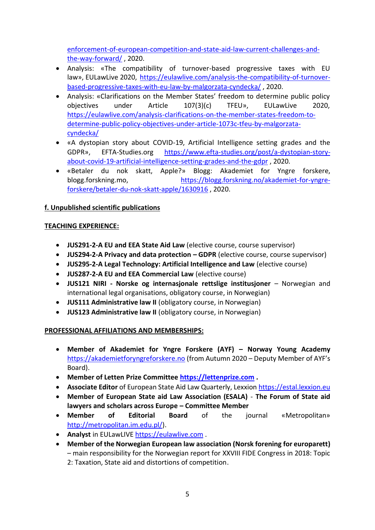[enforcement-of-european-competition-and-state-aid-law-current-challenges-and](https://eulawlive.com/library/private-enforcement-of-european-competition-and-state-aid-law-current-challenges-and-the-way-forward/)[the-way-forward/](https://eulawlive.com/library/private-enforcement-of-european-competition-and-state-aid-law-current-challenges-and-the-way-forward/) , 2020.

- Analysis: «The compatibility of turnover-based progressive taxes with EU law», EULawLive 2020, [https://eulawlive.com/analysis-the-compatibility-of-turnover](https://eulawlive.com/analysis-the-compatibility-of-turnover-based-progressive-taxes-with-eu-law-by-malgorzata-cyndecka/)[based-progressive-taxes-with-eu-law-by-malgorzata-cyndecka/](https://eulawlive.com/analysis-the-compatibility-of-turnover-based-progressive-taxes-with-eu-law-by-malgorzata-cyndecka/) , 2020.
- Analysis: «Clarifications on the Member States' freedom to determine public policy objectives under Article 107(3)(c) TFEU», EULawLive 2020, [https://eulawlive.com/analysis-clarifications-on-the-member-states-freedom-to](https://eulawlive.com/analysis-clarifications-on-the-member-states-freedom-to-determine-public-policy-objectives-under-article-1073c-tfeu-by-malgorzata-cyndecka/)[determine-public-policy-objectives-under-article-1073c-tfeu-by-malgorzata](https://eulawlive.com/analysis-clarifications-on-the-member-states-freedom-to-determine-public-policy-objectives-under-article-1073c-tfeu-by-malgorzata-cyndecka/)[cyndecka/](https://eulawlive.com/analysis-clarifications-on-the-member-states-freedom-to-determine-public-policy-objectives-under-article-1073c-tfeu-by-malgorzata-cyndecka/)
- «A dystopian story about COVID-19, Artificial Intelligence setting grades and the GDPR», EFTA-Studies.org [https://www.efta-studies.org/post/a-dystopian-story](https://www.efta-studies.org/post/a-dystopian-story-about-covid-19-artificial-intelligence-setting-grades-and-the-gdpr)[about-covid-19-artificial-intelligence-setting-grades-and-the-gdpr](https://www.efta-studies.org/post/a-dystopian-story-about-covid-19-artificial-intelligence-setting-grades-and-the-gdpr) , 2020.
- «Betaler du nok skatt, Apple?» Blogg: Akademiet for Yngre forskere, blogg.forskning.mo, [https://blogg.forskning.no/akademiet-for-yngre](https://blogg.forskning.no/akademiet-for-yngre-forskere/betaler-du-nok-skatt-apple/1630916)[forskere/betaler-du-nok-skatt-apple/1630916](https://blogg.forskning.no/akademiet-for-yngre-forskere/betaler-du-nok-skatt-apple/1630916) , 2020.

# **f. Unpublished scientific publications**

## **TEACHING EXPERIENCE:**

- **JUS291-2-A EU and EEA State Aid Law** (elective course, course supervisor)
- **JUS294-2-A Privacy and data protection – GDPR** (elective course, course supervisor)
- **JUS295-2-A Legal Technology: Artificial Intelligence and Law** (elective course)
- **JUS287-2-A EU and EEA Commercial Law** (elective course)
- **JUS121 NIRI - Norske og internasjonale rettslige institusjoner** Norwegian and international legal organisations, obligatory course, in Norwegian)
- **JUS111 Administrative law II** (obligatory course, in Norwegian)
- **JUS123 Administrative law II** (obligatory course, in Norwegian)

# **PROFESSIONAL AFFILIATIONS AND MEMBERSHIPS:**

- **Member of Akademiet for Yngre Forskere (AYF) – Norway Young Academy**  [https://akademietforyngreforskere.no](https://akademietforyngreforskere.no/) (from Autumn 2020 – Deputy Member of AYF's Board).
- **Member of Letten Prize Committee [https://lettenprize.com](https://lettenprize.com/) .**
- **Associate Editor** of European State Aid Law Quarterly, Lexxio[n https://estal.lexxion.eu](https://estal.lexxion.eu/)
- **Member of European State aid Law Association (ESALA) The Forum of State aid lawyers and scholars across Europe – Committee Member**
- **Member of Editorial Board** of the journal «Metropolitan» [http://metropolitan.im.edu.pl/\)](http://metropolitan.im.edu.pl/).
- **Analyst** in EULawLIVE [https://eulawlive.com](https://eulawlive.com/) .
- **Member of the Norwegian European law association (Norsk forening for europarett)** – main responsibility for the Norwegian report for XXVIII FIDE Congress in 2018: Topic 2: Taxation, State aid and distortions of competition.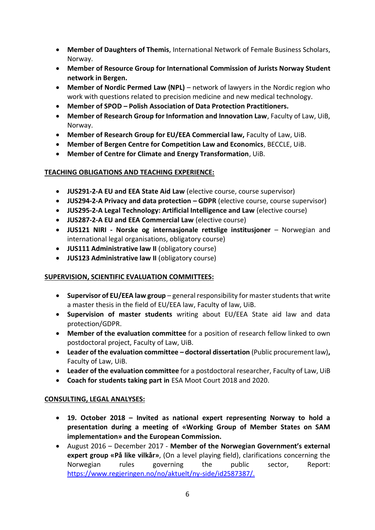- **Member of Daughters of Themis**, International Network of Female Business Scholars, Norway.
- **Member of Resource Group for International Commission of Jurists Norway Student network in Bergen.**
- **Member of Nordic Permed Law (NPL)**  network of lawyers in the Nordic region who work with questions related to precision medicine and new medical technology.
- **Member of SPOD – Polish Association of Data Protection Practitioners.**
- **Member of Research Group for Information and Innovation Law**, Faculty of Law, UiB, Norway.
- **Member of Research Group for EU/EEA Commercial law,** Faculty of Law, UiB.
- **Member of Bergen Centre for Competition Law and Economics**, BECCLE, UiB.
- **Member of Centre for Climate and Energy Transformation**, UiB.

# **TEACHING OBLIGATIONS AND TEACHING EXPERIENCE:**

- **JUS291-2-A EU and EEA State Aid Law** (elective course, course supervisor)
- **JUS294-2-A Privacy and data protection – GDPR** (elective course, course supervisor)
- **JUS295-2-A Legal Technology: Artificial Intelligence and Law** (elective course)
- **JUS287-2-A EU and EEA Commercial Law** (elective course)
- **JUS121 NIRI - Norske og internasjonale rettslige institusjoner** Norwegian and international legal organisations, obligatory course)
- **JUS111 Administrative law II** (obligatory course)
- **JUS123 Administrative law II** (obligatory course)

# **SUPERVISION, SCIENTIFIC EVALUATION COMMITTEES:**

- **Supervisor of EU/EEA law group**  general responsibility for master students that write a master thesis in the field of EU/EEA law, Faculty of law, UiB.
- **Supervision of master students** writing about EU/EEA State aid law and data protection/GDPR.
- **Member of the evaluation committee** for a position of research fellow linked to own postdoctoral project, Faculty of Law, UiB.
- **Leader of the evaluation committee – doctoral dissertation** (Public procurement law)**,**  Faculty of Law, UiB.
- **Leader of the evaluation committee** for a postdoctoral researcher, Faculty of Law, UiB
- **Coach for students taking part in** ESA Moot Court 2018 and 2020.

# **CONSULTING, LEGAL ANALYSES:**

- **19. October 2018 – Invited as national expert representing Norway to hold a presentation during a meeting of «Working Group of Member States on SAM implementation» and the European Commission.**
- August 2016 December 2017 **Member of the Norwegian Government's external expert group «På like vilkår»**, (On a level playing field), clarifications concerning the Norwegian rules governing the public sector, Report: [https://www.regjeringen.no/no/aktuelt/ny-side/id2587387/.](https://www.regjeringen.no/no/aktuelt/ny-side/id2587387/)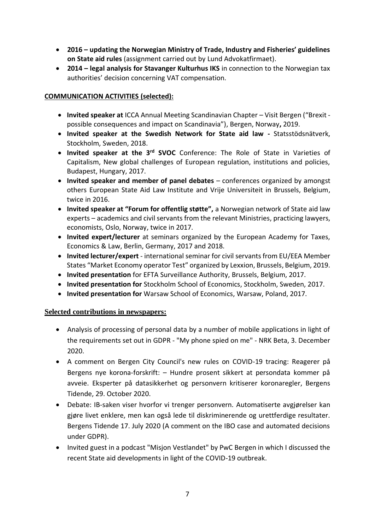- **2016 – updating the Norwegian Ministry of Trade, Industry and Fisheries' guidelines on State aid rules** (assignment carried out by Lund Advokatfirmaet).
- **2014 – legal analysis for Stavanger Kulturhus IKS** in connection to the Norwegian tax authorities' decision concerning VAT compensation.

## **COMMUNICATION ACTIVITIES (selected):**

- **Invited speaker at** ICCA Annual Meeting Scandinavian Chapter Visit Bergen ("Brexit possible consequences and impact on Scandinavia"), Bergen, Norway**,** 2019.
- **Invited speaker at the Swedish Network for State aid law -** Statsstödsnätverk, Stockholm, Sweden, 2018.
- **Invited speaker at the 3rd SVOC** Conference: The Role of State in Varieties of Capitalism, New global challenges of European regulation, institutions and policies, Budapest, Hungary, 2017.
- **Invited speaker and member of panel debates** conferences organized by amongst others European State Aid Law Institute and Vrije Universiteit in Brussels, Belgium, twice in 2016.
- **Invited speaker at "Forum for offentlig støtte",** a Norwegian network of State aid law experts – academics and civil servants from the relevant Ministries, practicing lawyers, economists, Oslo, Norway, twice in 2017.
- **Invited expert/lecturer** at seminars organized by the European Academy for Taxes, Economics & Law, Berlin, Germany, 2017 and 2018.
- **Invited lecturer/expert** international seminar for civil servants from EU/EEA Member States "Market Economy operator Test" organized by Lexxion, Brussels, Belgium, 2019.
- **Invited presentation** for EFTA Surveillance Authority, Brussels, Belgium, 2017.
- **Invited presentation for** Stockholm School of Economics, Stockholm, Sweden, 2017.
- **Invited presentation for** Warsaw School of Economics, Warsaw, Poland, 2017.

## **Selected contributions in newspapers:**

- Analysis of processing of personal data by a number of mobile applications in light of the requirements set out in GDPR - "My phone spied on me" - NRK Beta, 3. December 2020.
- A comment on Bergen City Council's new rules on COVID-19 tracing: Reagerer på Bergens nye korona-forskrift: – Hundre prosent sikkert at persondata kommer på avveie. Eksperter på datasikkerhet og personvern kritiserer koronaregler, Bergens Tidende, 29. October 2020.
- Debate: IB-saken viser hvorfor vi trenger personvern. Automatiserte avgjørelser kan gjøre livet enklere, men kan også lede til diskriminerende og urettferdige resultater. Bergens Tidende 17. July 2020 (A comment on the IBO case and automated decisions under GDPR).
- Invited guest in a podcast "Misjon Vestlandet" by PwC Bergen in which I discussed the recent State aid developments in light of the COVID-19 outbreak.